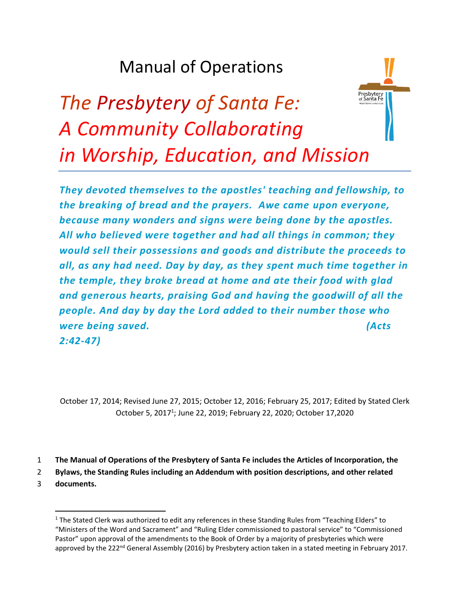## Manual of Operations



# *The Presbytery of Santa Fe: A Community Collaborating in Worship, Education, and Mission*

*They devoted themselves to the apostles' teaching and fellowship, to the breaking of bread and the prayers. Awe came upon everyone, because many wonders and signs were being done by the apostles. All who believed were together and had all things in common; they would sell their possessions and goods and distribute the proceeds to all, as any had need. Day by day, as they spent much time together in the temple, they broke bread at home and ate their food with glad and generous hearts, praising God and having the goodwill of all the people. And day by day the Lord added to their number those who were being saved. (Acts 2:42-47)*

October 17, 2014; Revised June 27, 2015; October 12, 2016; February 25, 2017; Edited by Stated Clerk October 5, 2017<sup>1</sup>; June 22, 2019; February 22, 2020; October 17,2020

- 1 **The Manual of Operations of the Presbytery of Santa Fe includes the Articles of Incorporation, the**
- 2 **Bylaws, the Standing Rules including an Addendum with position descriptions, and other related**
- 3 **documents.**

 $1$  The Stated Clerk was authorized to edit any references in these Standing Rules from "Teaching Elders" to "Ministers of the Word and Sacrament" and "Ruling Elder commissioned to pastoral service" to "Commissioned Pastor" upon approval of the amendments to the Book of Order by a majority of presbyteries which were approved by the 222<sup>nd</sup> General Assembly (2016) by Presbytery action taken in a stated meeting in February 2017.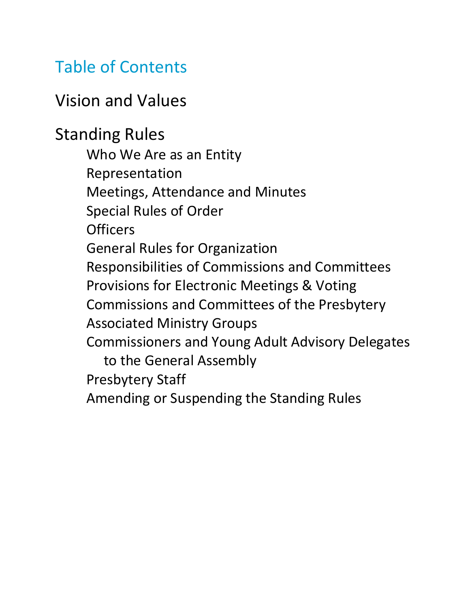## Table of Contents

## Vision and Values

Standing Rules

Who We Are as an Entity Representation Meetings, Attendance and Minutes Special Rules of Order **Officers** General Rules for Organization Responsibilities of Commissions and Committees Provisions for Electronic Meetings & Voting Commissions and Committees of the Presbytery Associated Ministry Groups Commissioners and Young Adult Advisory Delegates to the General Assembly Presbytery Staff Amending or Suspending the Standing Rules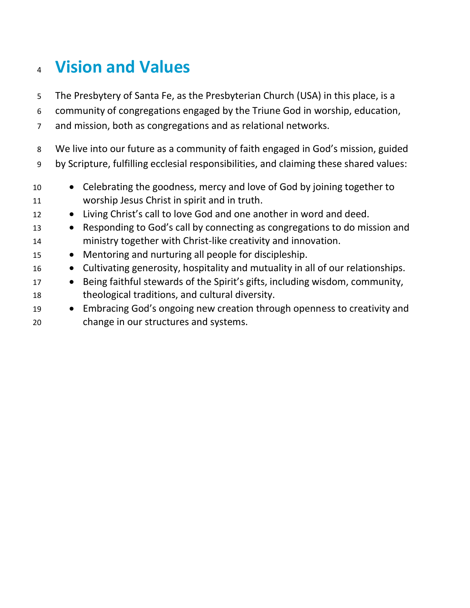## **Vision and Values**

The Presbytery of Santa Fe, as the Presbyterian Church (USA) in this place, is a

community of congregations engaged by the Triune God in worship, education,

and mission, both as congregations and as relational networks.

 We live into our future as a community of faith engaged in God's mission, guided by Scripture, fulfilling ecclesial responsibilities, and claiming these shared values:

- Celebrating the goodness, mercy and love of God by joining together to worship Jesus Christ in spirit and in truth.
- 12 Living Christ's call to love God and one another in word and deed.
- Responding to God's call by connecting as congregations to do mission and ministry together with Christ-like creativity and innovation.
- Mentoring and nurturing all people for discipleship.
- Cultivating generosity, hospitality and mutuality in all of our relationships.
- 17 Being faithful stewards of the Spirit's gifts, including wisdom, community, theological traditions, and cultural diversity.
- Embracing God's ongoing new creation through openness to creativity and change in our structures and systems.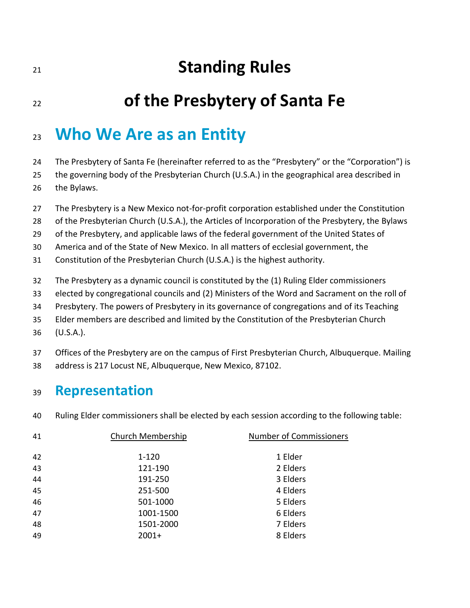## **Standing Rules**

## **of the Presbytery of Santa Fe**

### **Who We Are as an Entity**

The Presbytery of Santa Fe (hereinafter referred to as the "Presbytery" or the "Corporation") is

the governing body of the Presbyterian Church (U.S.A.) in the geographical area described in

- the Bylaws.
- The Presbytery is a New Mexico not-for-profit corporation established under the Constitution
- of the Presbyterian Church (U.S.A.), the Articles of Incorporation of the Presbytery, the Bylaws
- of the Presbytery, and applicable laws of the federal government of the United States of

America and of the State of New Mexico. In all matters of ecclesial government, the

- Constitution of the Presbyterian Church (U.S.A.) is the highest authority.
- The Presbytery as a dynamic council is constituted by the (1) Ruling Elder commissioners
- elected by congregational councils and (2) Ministers of the Word and Sacrament on the roll of
- Presbytery. The powers of Presbytery in its governance of congregations and of its Teaching
- Elder members are described and limited by the Constitution of the Presbyterian Church
- (U.S.A.).
- Offices of the Presbytery are on the campus of First Presbyterian Church, Albuquerque. Mailing
- address is 217 Locust NE, Albuquerque, New Mexico, 87102.

#### **Representation**

Ruling Elder commissioners shall be elected by each session according to the following table:

| 41 | Church Membership | <b>Number of Commissioners</b> |
|----|-------------------|--------------------------------|
| 42 | $1 - 120$         | 1 Elder                        |
| 43 | 121-190           | 2 Elders                       |
| 44 | 191-250           | 3 Elders                       |
| 45 | 251-500           | 4 Elders                       |
| 46 | 501-1000          | 5 Elders                       |
| 47 | 1001-1500         | 6 Elders                       |
| 48 | 1501-2000         | 7 Elders                       |
| 49 | $2001+$           | 8 Elders                       |
|    |                   |                                |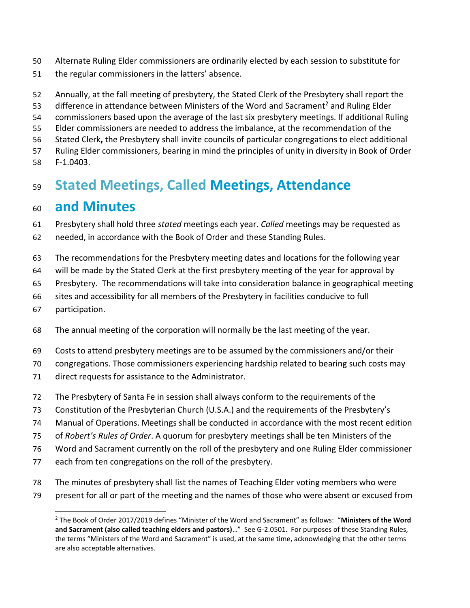- Alternate Ruling Elder commissioners are ordinarily elected by each session to substitute for
- the regular commissioners in the latters' absence.
- Annually, at the fall meeting of presbytery, the Stated Clerk of the Presbytery shall report the
- 53 difference in attendance between Ministers of the Word and Sacrament<sup>2</sup> and Ruling Elder
- commissioners based upon the average of the last six presbytery meetings. If additional Ruling
- Elder commissioners are needed to address the imbalance, at the recommendation of the
- Stated Clerk**,** the Presbytery shall invite councils of particular congregations to elect additional
- Ruling Elder commissioners, bearing in mind the principles of unity in diversity in Book of Order
- F-1.0403.

### **Stated Meetings, Called Meetings, Attendance**

#### **and Minutes**

- Presbytery shall hold three *stated* meetings each year. *Called* meetings may be requested as
- needed, in accordance with the Book of Order and these Standing Rules.
- The recommendations for the Presbytery meeting dates and locations for the following year
- will be made by the Stated Clerk at the first presbytery meeting of the year for approval by
- Presbytery. The recommendations will take into consideration balance in geographical meeting
- sites and accessibility for all members of the Presbytery in facilities conducive to full
- participation.
- The annual meeting of the corporation will normally be the last meeting of the year.
- Costs to attend presbytery meetings are to be assumed by the commissioners and/or their
- congregations. Those commissioners experiencing hardship related to bearing such costs may
- direct requests for assistance to the Administrator.
- The Presbytery of Santa Fe in session shall always conform to the requirements of the
- Constitution of the Presbyterian Church (U.S.A.) and the requirements of the Presbytery's
- Manual of Operations. Meetings shall be conducted in accordance with the most recent edition
- of *Robert's Rules of Order*. A quorum for presbytery meetings shall be ten Ministers of the
- Word and Sacrament currently on the roll of the presbytery and one Ruling Elder commissioner
- each from ten congregations on the roll of the presbytery.
- The minutes of presbytery shall list the names of Teaching Elder voting members who were
- present for all or part of the meeting and the names of those who were absent or excused from

 The Book of Order 2017/2019 defines "Minister of the Word and Sacrament" as follows: "**Ministers of the Word and Sacrament (also called teaching elders and pastors)**…" See G-2.0501. For purposes of these Standing Rules, the terms "Ministers of the Word and Sacrament" is used, at the same time, acknowledging that the other terms are also acceptable alternatives.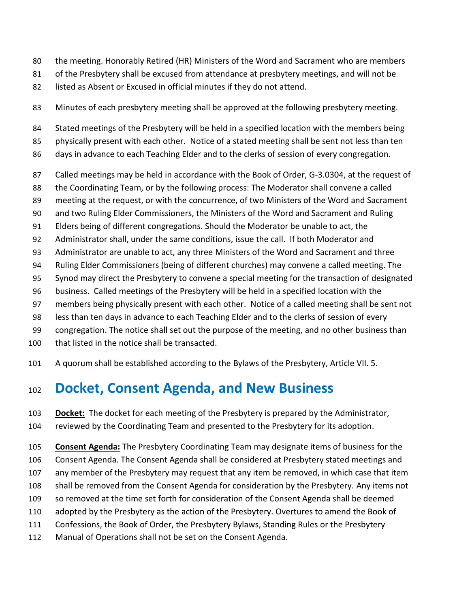- the meeting. Honorably Retired (HR) Ministers of the Word and Sacrament who are members
- of the Presbytery shall be excused from attendance at presbytery meetings, and will not be
- listed as Absent or Excused in official minutes if they do not attend.
- Minutes of each presbytery meeting shall be approved at the following presbytery meeting.
- 84 Stated meetings of the Presbytery will be held in a specified location with the members being
- physically present with each other. Notice of a stated meeting shall be sent not less than ten
- days in advance to each Teaching Elder and to the clerks of session of every congregation.
- Called meetings may be held in accordance with the Book of Order, G-3.0304, at the request of
- the Coordinating Team, or by the following process: The Moderator shall convene a called
- meeting at the request, or with the concurrence, of two Ministers of the Word and Sacrament
- and two Ruling Elder Commissioners, the Ministers of the Word and Sacrament and Ruling
- Elders being of different congregations. Should the Moderator be unable to act, the
- Administrator shall, under the same conditions, issue the call. If both Moderator and
- Administrator are unable to act, any three Ministers of the Word and Sacrament and three
- Ruling Elder Commissioners (being of different churches) may convene a called meeting. The
- Synod may direct the Presbytery to convene a special meeting for the transaction of designated
- business. Called meetings of the Presbytery will be held in a specified location with the
- members being physically present with each other. Notice of a called meeting shall be sent not
- less than ten days in advance to each Teaching Elder and to the clerks of session of every
- congregation. The notice shall set out the purpose of the meeting, and no other business than
- that listed in the notice shall be transacted.
- A quorum shall be established according to the Bylaws of the Presbytery, Article VII. 5.

#### **Docket, Consent Agenda, and New Business**

- **Docket:** The docket for each meeting of the Presbytery is prepared by the Administrator,
- reviewed by the Coordinating Team and presented to the Presbytery for its adoption.
- **Consent Agenda:** The Presbytery Coordinating Team may designate items of business for the Consent Agenda. The Consent Agenda shall be considered at Presbytery stated meetings and any member of the Presbytery may request that any item be removed, in which case that item shall be removed from the Consent Agenda for consideration by the Presbytery. Any items not so removed at the time set forth for consideration of the Consent Agenda shall be deemed adopted by the Presbytery as the action of the Presbytery. Overtures to amend the Book of Confessions, the Book of Order, the Presbytery Bylaws, Standing Rules or the Presbytery Manual of Operations shall not be set on the Consent Agenda.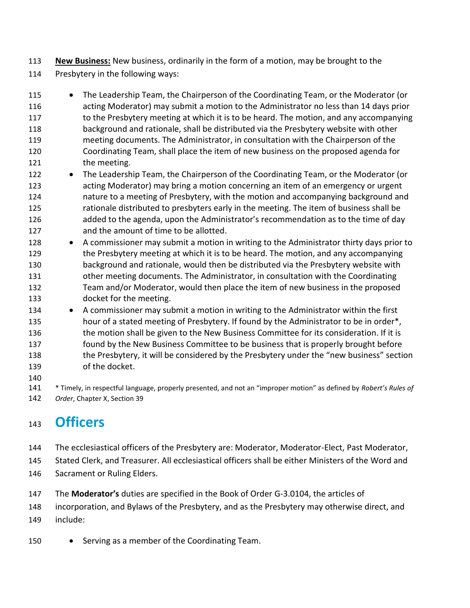- **New Business:** New business, ordinarily in the form of a motion, may be brought to the
- Presbytery in the following ways:
- The Leadership Team, the Chairperson of the Coordinating Team, or the Moderator (or acting Moderator) may submit a motion to the Administrator no less than 14 days prior 117 to the Presbytery meeting at which it is to be heard. The motion, and any accompanying background and rationale, shall be distributed via the Presbytery website with other meeting documents. The Administrator, in consultation with the Chairperson of the Coordinating Team, shall place the item of new business on the proposed agenda for 121 the meeting.
- The Leadership Team, the Chairperson of the Coordinating Team, or the Moderator (or acting Moderator) may bring a motion concerning an item of an emergency or urgent nature to a meeting of Presbytery, with the motion and accompanying background and rationale distributed to presbyters early in the meeting. The item of business shall be added to the agenda, upon the Administrator's recommendation as to the time of day and the amount of time to be allotted.
- A commissioner may submit a motion in writing to the Administrator thirty days prior to 129 the Presbytery meeting at which it is to be heard. The motion, and any accompanying background and rationale, would then be distributed via the Presbytery website with other meeting documents. The Administrator, in consultation with the Coordinating Team and/or Moderator, would then place the item of new business in the proposed docket for the meeting.
- A commissioner may submit a motion in writing to the Administrator within the first 135 hour of a stated meeting of Presbytery. If found by the Administrator to be in order\*, 136 the motion shall be given to the New Business Committee for its consideration. If it is found by the New Business Committee to be business that is properly brought before 138 the Presbytery, it will be considered by the Presbytery under the "new business" section of the docket.
- \* Timely, in respectful language, properly presented, and not an "improper motion" as defined by *Robert's Rules of Order*, Chapter X, Section 39

### **Officers**

- The ecclesiastical officers of the Presbytery are: Moderator, Moderator-Elect, Past Moderator,
- Stated Clerk, and Treasurer. All ecclesiastical officers shall be either Ministers of the Word and
- Sacrament or Ruling Elders.
- The **Moderator's** duties are specified in the Book of Order G-3.0104, the articles of
- incorporation, and Bylaws of the Presbytery, and as the Presbytery may otherwise direct, and include:
- Serving as a member of the Coordinating Team.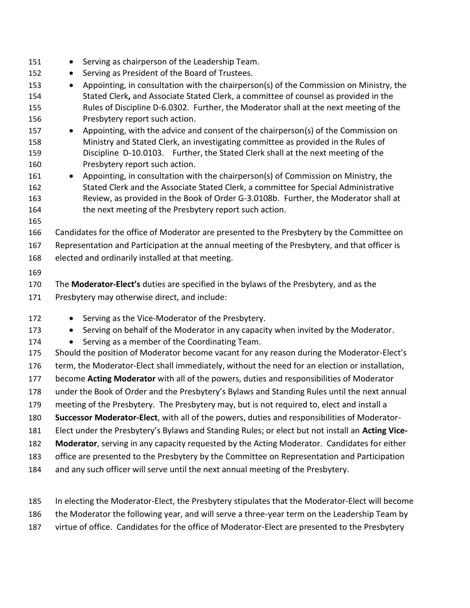- 151 Serving as chairperson of the Leadership Team. • Serving as President of the Board of Trustees. 153 • Appointing, in consultation with the chairperson(s) of the Commission on Ministry, the Stated Clerk**,** and Associate Stated Clerk, a committee of counsel as provided in the Rules of Discipline D-6.0302. Further, the Moderator shall at the next meeting of the Presbytery report such action. 157 • Appointing, with the advice and consent of the chairperson(s) of the Commission on Ministry and Stated Clerk, an investigating committee as provided in the Rules of Discipline D-10.0103.Further, the Stated Clerk shall at the next meeting of the Presbytery report such action. • Appointing, in consultation with the chairperson(s) of Commission on Ministry, the Stated Clerk and the Associate Stated Clerk, a committee for Special Administrative Review, as provided in the Book of Order G-3.0108b. Further, the Moderator shall at 164 the next meeting of the Presbytery report such action. Candidates for the office of Moderator are presented to the Presbytery by the Committee on Representation and Participation at the annual meeting of the Presbytery, and that officer is elected and ordinarily installed at that meeting. The **Moderator-Elect's** duties are specified in the bylaws of the Presbytery, and as the Presbytery may otherwise direct, and include: 172 • Serving as the Vice-Moderator of the Presbytery. • Serving on behalf of the Moderator in any capacity when invited by the Moderator. 174 • Serving as a member of the Coordinating Team. Should the position of Moderator become vacant for any reason during the Moderator-Elect's term, the Moderator-Elect shall immediately, without the need for an election or installation, become **Acting Moderator** with all of the powers, duties and responsibilities of Moderator under the Book of Order and the Presbytery's Bylaws and Standing Rules until the next annual meeting of the Presbytery. The Presbytery may, but is not required to, elect and install a **Successor Moderator-Elect**, with all of the powers, duties and responsibilities of Moderator- Elect under the Presbytery's Bylaws and Standing Rules; or elect but not install an **Acting Vice- Moderator**, serving in any capacity requested by the Acting Moderator. Candidates for either office are presented to the Presbytery by the Committee on Representation and Participation and any such officer will serve until the next annual meeting of the Presbytery.
- In electing the Moderator-Elect, the Presbytery stipulates that the Moderator-Elect will become the Moderator the following year, and will serve a three-year term on the Leadership Team by virtue of office. Candidates for the office of Moderator-Elect are presented to the Presbytery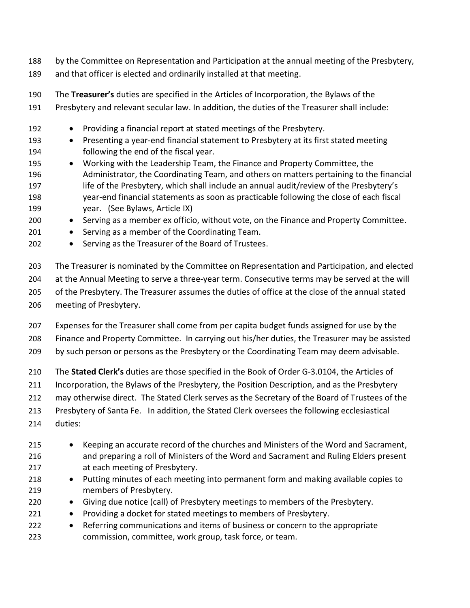- by the Committee on Representation and Participation at the annual meeting of the Presbytery,
- and that officer is elected and ordinarily installed at that meeting.
- The **Treasurer's** duties are specified in the Articles of Incorporation, the Bylaws of the
- Presbytery and relevant secular law. In addition, the duties of the Treasurer shall include:
- Providing a financial report at stated meetings of the Presbytery.
- Presenting a year-end financial statement to Presbytery at its first stated meeting following the end of the fiscal year.
- Working with the Leadership Team, the Finance and Property Committee, the Administrator, the Coordinating Team, and others on matters pertaining to the financial 197 life of the Presbytery, which shall include an annual audit/review of the Presbytery's year-end financial statements as soon as practicable following the close of each fiscal year. (See Bylaws, Article IX)
- Serving as a member ex officio, without vote, on the Finance and Property Committee.
- 201 Serving as a member of the Coordinating Team.
- Serving as the Treasurer of the Board of Trustees.
- The Treasurer is nominated by the Committee on Representation and Participation, and elected at the Annual Meeting to serve a three-year term. Consecutive terms may be served at the will of the Presbytery. The Treasurer assumes the duties of office at the close of the annual stated meeting of Presbytery.
- Expenses for the Treasurer shall come from per capita budget funds assigned for use by the Finance and Property Committee. In carrying out his/her duties, the Treasurer may be assisted by such person or persons as the Presbytery or the Coordinating Team may deem advisable.
- The **Stated Clerk's** duties are those specified in the Book of Order G-3.0104, the Articles of
- Incorporation, the Bylaws of the Presbytery, the Position Description, and as the Presbytery
- may otherwise direct. The Stated Clerk serves as the Secretary of the Board of Trustees of the
- Presbytery of Santa Fe. In addition, the Stated Clerk oversees the following ecclesiastical
- duties:
- Keeping an accurate record of the churches and Ministers of the Word and Sacrament, and preparing a roll of Ministers of the Word and Sacrament and Ruling Elders present at each meeting of Presbytery.
- Putting minutes of each meeting into permanent form and making available copies to members of Presbytery.
- Giving due notice (call) of Presbytery meetings to members of the Presbytery.
- Providing a docket for stated meetings to members of Presbytery.
- Referring communications and items of business or concern to the appropriate commission, committee, work group, task force, or team.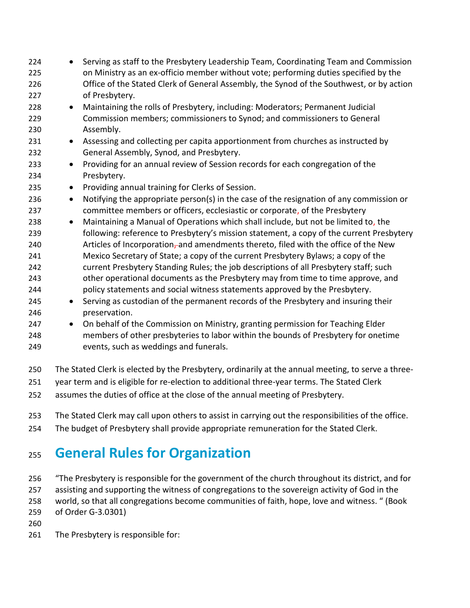- Serving as staff to the Presbytery Leadership Team, Coordinating Team and Commission on Ministry as an ex-officio member without vote; performing duties specified by the Office of the Stated Clerk of General Assembly, the Synod of the Southwest, or by action of Presbytery. • Maintaining the rolls of Presbytery, including: Moderators; Permanent Judicial Commission members; commissioners to Synod; and commissioners to General Assembly. • Assessing and collecting per capita apportionment from churches as instructed by General Assembly, Synod, and Presbytery. • Providing for an annual review of Session records for each congregation of the Presbytery. • Providing annual training for Clerks of Session. • Notifying the appropriate person(s) in the case of the resignation of any commission or committee members or officers, ecclesiastic or corporate, of the Presbytery • Maintaining a Manual of Operations which shall include, but not be limited to, the following: reference to Presbytery's mission statement, a copy of the current Presbytery 240 Articles of Incorporation, and amendments thereto, filed with the office of the New Mexico Secretary of State; a copy of the current Presbytery Bylaws; a copy of the current Presbytery Standing Rules; the job descriptions of all Presbytery staff; such other operational documents as the Presbytery may from time to time approve, and policy statements and social witness statements approved by the Presbytery. • Serving as custodian of the permanent records of the Presbytery and insuring their preservation. 247 • On behalf of the Commission on Ministry, granting permission for Teaching Elder members of other presbyteries to labor within the bounds of Presbytery for onetime events, such as weddings and funerals. The Stated Clerk is elected by the Presbytery, ordinarily at the annual meeting, to serve a three-
- year term and is eligible for re-election to additional three-year terms. The Stated Clerk
- assumes the duties of office at the close of the annual meeting of Presbytery.
- The Stated Clerk may call upon others to assist in carrying out the responsibilities of the office.
- The budget of Presbytery shall provide appropriate remuneration for the Stated Clerk.

### **General Rules for Organization**

- "The Presbytery is responsible for the government of the church throughout its district, and for assisting and supporting the witness of congregations to the sovereign activity of God in the
- world, so that all congregations become communities of faith, hope, love and witness. " (Book
- of Order G-3.0301)
- 
- The Presbytery is responsible for: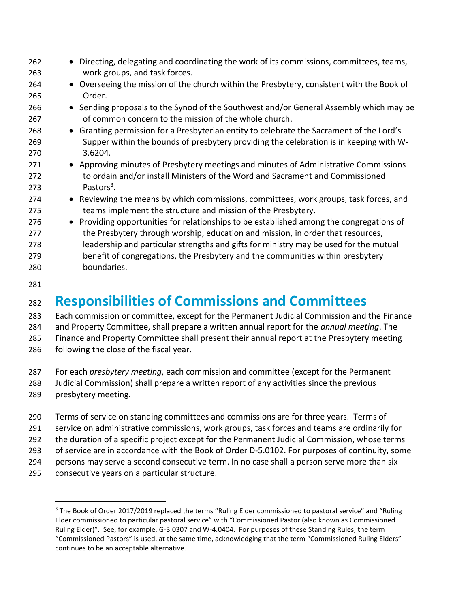| 262 | • Directing, delegating and coordinating the work of its commissions, committees, teams,  |
|-----|-------------------------------------------------------------------------------------------|
| 263 | work groups, and task forces.                                                             |
| 264 | • Overseeing the mission of the church within the Presbytery, consistent with the Book of |
| 265 | Order.                                                                                    |
| 266 | • Sending proposals to the Synod of the Southwest and/or General Assembly which may be    |
| 267 | of common concern to the mission of the whole church.                                     |
| 268 | • Granting permission for a Presbyterian entity to celebrate the Sacrament of the Lord's  |
| 269 | Supper within the bounds of presbytery providing the celebration is in keeping with W-    |
| 270 | 3.6204.                                                                                   |
| 271 | • Approving minutes of Presbytery meetings and minutes of Administrative Commissions      |
| 272 | to ordain and/or install Ministers of the Word and Sacrament and Commissioned             |
| 273 | Pastors <sup>3</sup> .                                                                    |
| 274 | • Reviewing the means by which commissions, committees, work groups, task forces, and     |
| 275 | teams implement the structure and mission of the Presbytery.                              |
| 276 | • Providing opportunities for relationships to be established among the congregations of  |
| 277 | the Presbytery through worship, education and mission, in order that resources,           |
| 278 | leadership and particular strengths and gifts for ministry may be used for the mutual     |
| 279 | benefit of congregations, the Presbytery and the communities within presbytery            |
| 280 | boundaries.                                                                               |
|     |                                                                                           |
| 281 |                                                                                           |
|     |                                                                                           |

#### **Responsibilities of Commissions and Committees**

 Each commission or committee, except for the Permanent Judicial Commission and the Finance and Property Committee, shall prepare a written annual report for the *annual meeting*. The Finance and Property Committee shall present their annual report at the Presbytery meeting following the close of the fiscal year.

 For each *presbytery meeting*, each commission and committee (except for the Permanent Judicial Commission) shall prepare a written report of any activities since the previous presbytery meeting.

- 
- Terms of service on standing committees and commissions are for three years. Terms of
- service on administrative commissions, work groups, task forces and teams are ordinarily for
- the duration of a specific project except for the Permanent Judicial Commission, whose terms
- of service are in accordance with the Book of Order D-5.0102. For purposes of continuity, some persons may serve a second consecutive term. In no case shall a person serve more than six
- consecutive years on a particular structure.

<sup>&</sup>lt;sup>3</sup> The Book of Order 2017/2019 replaced the terms "Ruling Elder commissioned to pastoral service" and "Ruling Elder commissioned to particular pastoral service" with "Commissioned Pastor (also known as Commissioned Ruling Elder)". See, for example, G-3.0307 and W-4.0404. For purposes of these Standing Rules, the term "Commissioned Pastors" is used, at the same time, acknowledging that the term "Commissioned Ruling Elders" continues to be an acceptable alternative.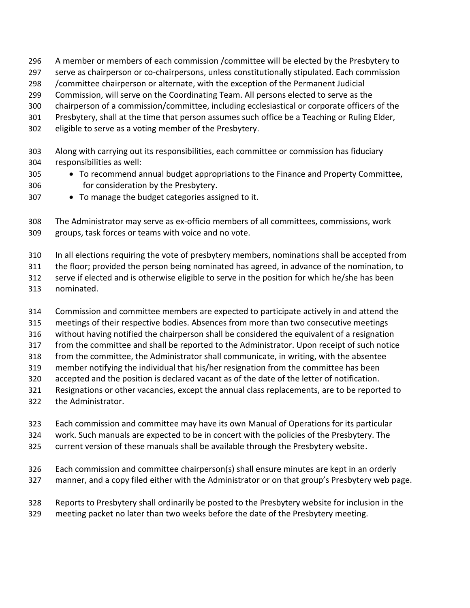- A member or members of each commission /committee will be elected by the Presbytery to
- serve as chairperson or co-chairpersons, unless constitutionally stipulated. Each commission
- /committee chairperson or alternate, with the exception of the Permanent Judicial
- Commission, will serve on the Coordinating Team. All persons elected to serve as the
- chairperson of a commission/committee, including ecclesiastical or corporate officers of the
- Presbytery, shall at the time that person assumes such office be a Teaching or Ruling Elder,
- eligible to serve as a voting member of the Presbytery.
- Along with carrying out its responsibilities, each committee or commission has fiduciary responsibilities as well:
- To recommend annual budget appropriations to the Finance and Property Committee, for consideration by the Presbytery.
- To manage the budget categories assigned to it.

 The Administrator may serve as ex-officio members of all committees, commissions, work groups, task forces or teams with voice and no vote.

- In all elections requiring the vote of presbytery members, nominations shall be accepted from
- the floor; provided the person being nominated has agreed, in advance of the nomination, to
- serve if elected and is otherwise eligible to serve in the position for which he/she has been
- nominated.
- Commission and committee members are expected to participate actively in and attend the
- meetings of their respective bodies. Absences from more than two consecutive meetings
- without having notified the chairperson shall be considered the equivalent of a resignation
- from the committee and shall be reported to the Administrator. Upon receipt of such notice
- from the committee, the Administrator shall communicate, in writing, with the absentee
- member notifying the individual that his/her resignation from the committee has been
- accepted and the position is declared vacant as of the date of the letter of notification.
- Resignations or other vacancies, except the annual class replacements, are to be reported to
- the Administrator.
- Each commission and committee may have its own Manual of Operations for its particular
- work. Such manuals are expected to be in concert with the policies of the Presbytery. The
- current version of these manuals shall be available through the Presbytery website.
- Each commission and committee chairperson(s) shall ensure minutes are kept in an orderly
- manner, and a copy filed either with the Administrator or on that group's Presbytery web page.
- Reports to Presbytery shall ordinarily be posted to the Presbytery website for inclusion in the meeting packet no later than two weeks before the date of the Presbytery meeting.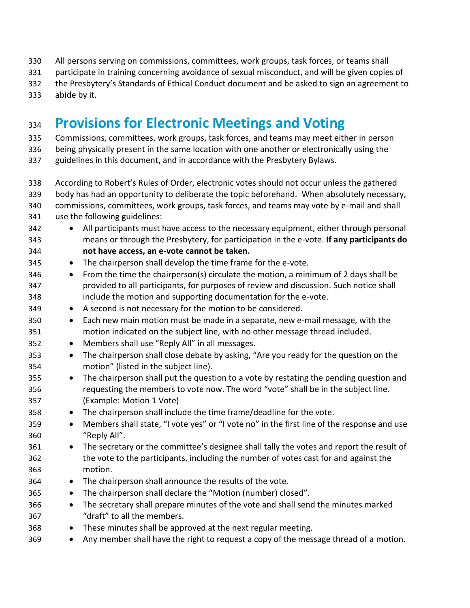- All persons serving on commissions, committees, work groups, task forces, or teams shall
- participate in training concerning avoidance of sexual misconduct, and will be given copies of
- the Presbytery's Standards of Ethical Conduct document and be asked to sign an agreement to
- abide by it.

### **Provisions for Electronic Meetings and Voting**

Commissions, committees, work groups, task forces, and teams may meet either in person

being physically present in the same location with one another or electronically using the

- guidelines in this document, and in accordance with the Presbytery Bylaws.
- According to Robert's Rules of Order, electronic votes should not occur unless the gathered
- body has had an opportunity to deliberate the topic beforehand. When absolutely necessary,
- commissions, committees, work groups, task forces, and teams may vote by e-mail and shall
- use the following guidelines:
- All participants must have access to the necessary equipment, either through personal means or through the Presbytery, for participation in the e-vote. **If any participants do not have access, an e-vote cannot be taken.**
- The chairperson shall develop the time frame for the e-vote.
- From the time the chairperson(s) circulate the motion, a minimum of 2 days shall be provided to all participants, for purposes of review and discussion. Such notice shall include the motion and supporting documentation for the e-vote.
- A second is not necessary for the motion to be considered.
- Each new main motion must be made in a separate, new e-mail message, with the motion indicated on the subject line, with no other message thread included.
- Members shall use "Reply All" in all messages.
- The chairperson shall close debate by asking, "Are you ready for the question on the motion" (listed in the subject line).
- The chairperson shall put the question to a vote by restating the pending question and requesting the members to vote now. The word "vote" shall be in the subject line. (Example: Motion 1 Vote)
- The chairperson shall include the time frame/deadline for the vote.
- Members shall state, "I vote yes" or "I vote no" in the first line of the response and use "Reply All".
- The secretary or the committee's designee shall tally the votes and report the result of the vote to the participants, including the number of votes cast for and against the motion.
- The chairperson shall announce the results of the vote.
- 365 The chairperson shall declare the "Motion (number) closed".
- The secretary shall prepare minutes of the vote and shall send the minutes marked "draft" to all the members.
- These minutes shall be approved at the next regular meeting.
- Any member shall have the right to request a copy of the message thread of a motion.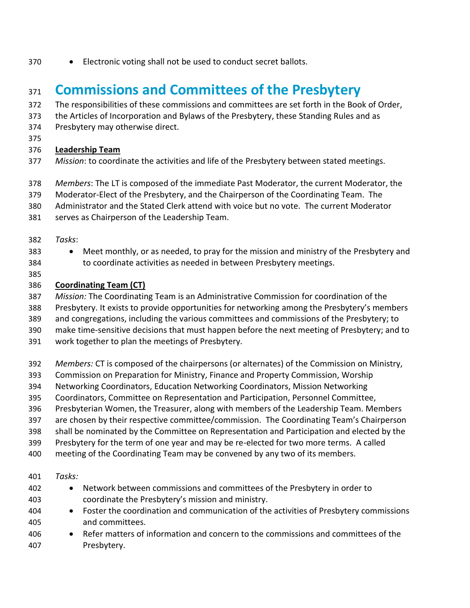• Electronic voting shall not be used to conduct secret ballots.

#### **Commissions and Committees of the Presbytery**

- The responsibilities of these commissions and committees are set forth in the Book of Order,
- the Articles of Incorporation and Bylaws of the Presbytery, these Standing Rules and as
- Presbytery may otherwise direct.
- 

#### **Leadership Team**

- *Mission*: to coordinate the activities and life of the Presbytery between stated meetings.
- *Members*: The LT is composed of the immediate Past Moderator, the current Moderator, the
- Moderator-Elect of the Presbytery, and the Chairperson of the Coordinating Team. The
- Administrator and the Stated Clerk attend with voice but no vote. The current Moderator
- serves as Chairperson of the Leadership Team.
- *Tasks*:
- 
- Meet monthly, or as needed, to pray for the mission and ministry of the Presbytery and to coordinate activities as needed in between Presbytery meetings.
- 

#### **Coordinating Team (CT)**

- *Mission:* The Coordinating Team is an Administrative Commission for coordination of the
- Presbytery. It exists to provide opportunities for networking among the Presbytery's members
- and congregations, including the various committees and commissions of the Presbytery; to
- make time-sensitive decisions that must happen before the next meeting of Presbytery; and to
- work together to plan the meetings of Presbytery.
- *Members:* CT is composed of the chairpersons (or alternates) of the Commission on Ministry,
- Commission on Preparation for Ministry, Finance and Property Commission, Worship
- Networking Coordinators, Education Networking Coordinators, Mission Networking
- Coordinators, Committee on Representation and Participation, Personnel Committee,
- Presbyterian Women, the Treasurer, along with members of the Leadership Team. Members
- are chosen by their respective committee/commission. The Coordinating Team's Chairperson
- shall be nominated by the Committee on Representation and Participation and elected by the
- Presbytery for the term of one year and may be re-elected for two more terms. A called
- meeting of the Coordinating Team may be convened by any two of its members.
- *Tasks:*
- Network between commissions and committees of the Presbytery in order to coordinate the Presbytery's mission and ministry.
- Foster the coordination and communication of the activities of Presbytery commissions and committees.
- Refer matters of information and concern to the commissions and committees of the Presbytery.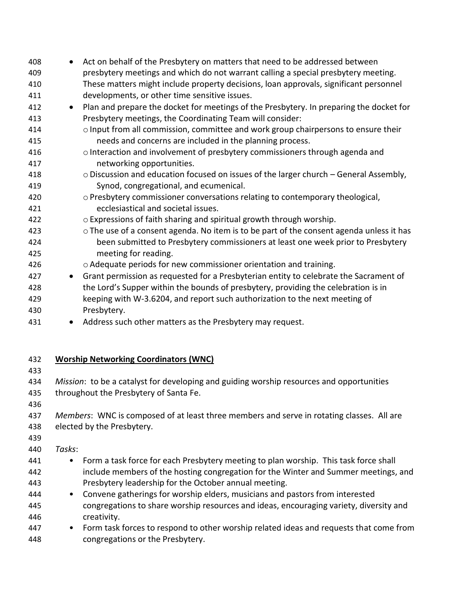- Act on behalf of the Presbytery on matters that need to be addressed between presbytery meetings and which do not warrant calling a special presbytery meeting. These matters might include property decisions, loan approvals, significant personnel developments, or other time sensitive issues. • Plan and prepare the docket for meetings of the Presbytery. In preparing the docket for Presbytery meetings, the Coordinating Team will consider: oInput from all commission, committee and work group chairpersons to ensure their needs and concerns are included in the planning process. **ourier and involvement of presbytery commissioners through agenda and**  networking opportunities. oDiscussion and education focused on issues of the larger church – General Assembly, Synod, congregational, and ecumenical. oPresbytery commissioner conversations relating to contemporary theological, ecclesiastical and societal issues. oExpressions of faith sharing and spiritual growth through worship. oThe use of a consent agenda. No item is to be part of the consent agenda unless it has been submitted to Presbytery commissioners at least one week prior to Presbytery meeting for reading. oAdequate periods for new commissioner orientation and training. • Grant permission as requested for a Presbyterian entity to celebrate the Sacrament of the Lord's Supper within the bounds of presbytery, providing the celebration is in keeping with W-3.6204, and report such authorization to the next meeting of Presbytery. 431 • Address such other matters as the Presbytery may request. **Worship Networking Coordinators (WNC)** *Mission*: to be a catalyst for developing and guiding worship resources and opportunities 435 throughout the Presbytery of Santa Fe.
- 

 *Members*: WNC is composed of at least three members and serve in rotating classes. All are elected by the Presbytery.

*Tasks*:

- Form a task force for each Presbytery meeting to plan worship. This task force shall include members of the hosting congregation for the Winter and Summer meetings, and Presbytery leadership for the October annual meeting.
- Convene gatherings for worship elders, musicians and pastors from interested congregations to share worship resources and ideas, encouraging variety, diversity and creativity.
- Form task forces to respond to other worship related ideas and requests that come from congregations or the Presbytery.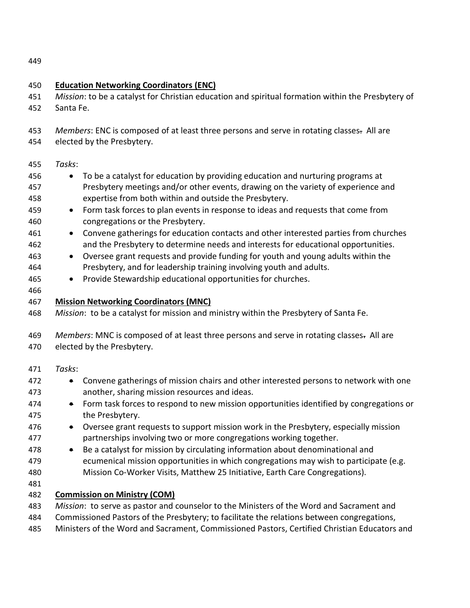| 450                                                                                     | <b>Education Networking Coordinators (ENC)</b>                                                                                                                                                                                                                                                                                                                                                                                                                                                                                                                                                                                                                                                                                                                                                                                                                                            |  |  |
|-----------------------------------------------------------------------------------------|-------------------------------------------------------------------------------------------------------------------------------------------------------------------------------------------------------------------------------------------------------------------------------------------------------------------------------------------------------------------------------------------------------------------------------------------------------------------------------------------------------------------------------------------------------------------------------------------------------------------------------------------------------------------------------------------------------------------------------------------------------------------------------------------------------------------------------------------------------------------------------------------|--|--|
| 451                                                                                     | Mission: to be a catalyst for Christian education and spiritual formation within the Presbytery of                                                                                                                                                                                                                                                                                                                                                                                                                                                                                                                                                                                                                                                                                                                                                                                        |  |  |
| 452                                                                                     | Santa Fe.                                                                                                                                                                                                                                                                                                                                                                                                                                                                                                                                                                                                                                                                                                                                                                                                                                                                                 |  |  |
| 453<br>454                                                                              | Members: ENC is composed of at least three persons and serve in rotating classes. All are<br>elected by the Presbytery.                                                                                                                                                                                                                                                                                                                                                                                                                                                                                                                                                                                                                                                                                                                                                                   |  |  |
| 455<br>456<br>457<br>458<br>459<br>460<br>461<br>462<br>463<br>464<br>465<br>466<br>467 | Tasks:<br>To be a catalyst for education by providing education and nurturing programs at<br>$\bullet$<br>Presbytery meetings and/or other events, drawing on the variety of experience and<br>expertise from both within and outside the Presbytery.<br>Form task forces to plan events in response to ideas and requests that come from<br>$\bullet$<br>congregations or the Presbytery.<br>Convene gatherings for education contacts and other interested parties from churches<br>$\bullet$<br>and the Presbytery to determine needs and interests for educational opportunities.<br>Oversee grant requests and provide funding for youth and young adults within the<br>$\bullet$<br>Presbytery, and for leadership training involving youth and adults.<br>Provide Stewardship educational opportunities for churches.<br>$\bullet$<br><b>Mission Networking Coordinators (MNC)</b> |  |  |
| 468                                                                                     | Mission: to be a catalyst for mission and ministry within the Presbytery of Santa Fe.                                                                                                                                                                                                                                                                                                                                                                                                                                                                                                                                                                                                                                                                                                                                                                                                     |  |  |
| 469<br>470                                                                              | Members: MNC is composed of at least three persons and serve in rotating classes. All are<br>elected by the Presbytery.                                                                                                                                                                                                                                                                                                                                                                                                                                                                                                                                                                                                                                                                                                                                                                   |  |  |
| 471                                                                                     | Tasks:                                                                                                                                                                                                                                                                                                                                                                                                                                                                                                                                                                                                                                                                                                                                                                                                                                                                                    |  |  |
| 472<br>473                                                                              | Convene gatherings of mission chairs and other interested persons to network with one<br>$\bullet$<br>another, sharing mission resources and ideas.                                                                                                                                                                                                                                                                                                                                                                                                                                                                                                                                                                                                                                                                                                                                       |  |  |
| 474<br>475                                                                              | Form task forces to respond to new mission opportunities identified by congregations or<br>$\bullet$<br>the Presbytery.                                                                                                                                                                                                                                                                                                                                                                                                                                                                                                                                                                                                                                                                                                                                                                   |  |  |
| 476<br>477                                                                              | Oversee grant requests to support mission work in the Presbytery, especially mission<br>partnerships involving two or more congregations working together.                                                                                                                                                                                                                                                                                                                                                                                                                                                                                                                                                                                                                                                                                                                                |  |  |
| 478<br>479<br>480<br>481                                                                | Be a catalyst for mission by circulating information about denominational and<br>$\bullet$<br>ecumenical mission opportunities in which congregations may wish to participate (e.g.<br>Mission Co-Worker Visits, Matthew 25 Initiative, Earth Care Congregations).                                                                                                                                                                                                                                                                                                                                                                                                                                                                                                                                                                                                                        |  |  |
| 482                                                                                     | <b>Commission on Ministry (COM)</b>                                                                                                                                                                                                                                                                                                                                                                                                                                                                                                                                                                                                                                                                                                                                                                                                                                                       |  |  |
| 483<br>484<br>485                                                                       | Mission: to serve as pastor and counselor to the Ministers of the Word and Sacrament and<br>Commissioned Pastors of the Presbytery; to facilitate the relations between congregations,<br>Ministers of the Word and Sacrament, Commissioned Pastors, Certified Christian Educators and                                                                                                                                                                                                                                                                                                                                                                                                                                                                                                                                                                                                    |  |  |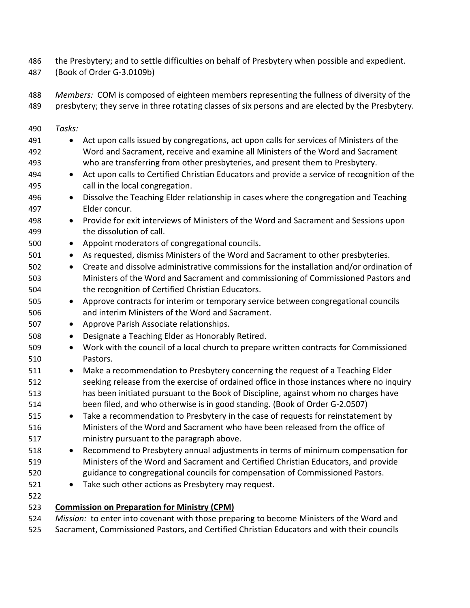the Presbytery; and to settle difficulties on behalf of Presbytery when possible and expedient.

- (Book of Order G-3.0109b)
- *Members:* COM is composed of eighteen members representing the fullness of diversity of the presbytery; they serve in three rotating classes of six persons and are elected by the Presbytery.
- *Tasks:*  491 • Act upon calls issued by congregations, act upon calls for services of Ministers of the Word and Sacrament, receive and examine all Ministers of the Word and Sacrament who are transferring from other presbyteries, and present them to Presbytery. • Act upon calls to Certified Christian Educators and provide a service of recognition of the call in the local congregation. • Dissolve the Teaching Elder relationship in cases where the congregation and Teaching Elder concur. • Provide for exit interviews of Ministers of the Word and Sacrament and Sessions upon the dissolution of call. • Appoint moderators of congregational councils.
	- As requested, dismiss Ministers of the Word and Sacrament to other presbyteries.
	- Create and dissolve administrative commissions for the installation and/or ordination of Ministers of the Word and Sacrament and commissioning of Commissioned Pastors and the recognition of Certified Christian Educators.
	- Approve contracts for interim or temporary service between congregational councils and interim Ministers of the Word and Sacrament.
	- Approve Parish Associate relationships.
	- Designate a Teaching Elder as Honorably Retired.
	- Work with the council of a local church to prepare written contracts for Commissioned Pastors.
	- 511 Make a recommendation to Presbytery concerning the request of a Teaching Elder seeking release from the exercise of ordained office in those instances where no inquiry has been initiated pursuant to the Book of Discipline, against whom no charges have been filed, and who otherwise is in good standing. (Book of Order G-2.0507)
	- Take a recommendation to Presbytery in the case of requests for reinstatement by Ministers of the Word and Sacrament who have been released from the office of ministry pursuant to the paragraph above.
	- Recommend to Presbytery annual adjustments in terms of minimum compensation for Ministers of the Word and Sacrament and Certified Christian Educators, and provide guidance to congregational councils for compensation of Commissioned Pastors.
	- Take such other actions as Presbytery may request.
	-
	- **Commission on Preparation for Ministry (CPM)**
	- *Mission:* to enter into covenant with those preparing to become Ministers of the Word and
	- Sacrament, Commissioned Pastors, and Certified Christian Educators and with their councils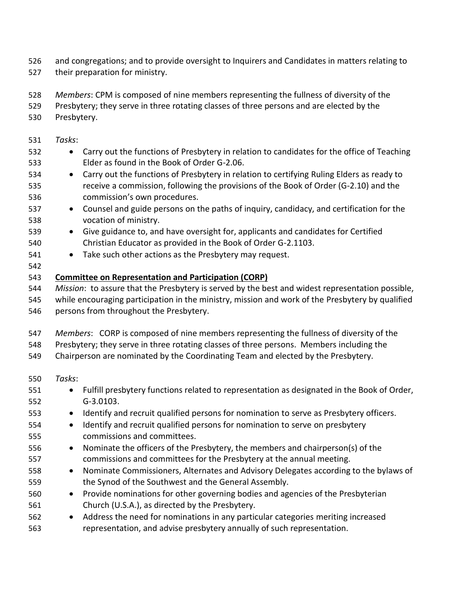- and congregations; and to provide oversight to Inquirers and Candidates in matters relating to
- their preparation for ministry.
- *Members*: CPM is composed of nine members representing the fullness of diversity of the
- Presbytery; they serve in three rotating classes of three persons and are elected by the
- Presbytery.
- *Tasks*:
- 532 Carry out the functions of Presbytery in relation to candidates for the office of Teaching Elder as found in the Book of Order G-2.06.
- Carry out the functions of Presbytery in relation to certifying Ruling Elders as ready to receive a commission, following the provisions of the Book of Order (G-2.10) and the commission's own procedures.
- Counsel and guide persons on the paths of inquiry, candidacy, and certification for the vocation of ministry.
- Give guidance to, and have oversight for, applicants and candidates for Certified Christian Educator as provided in the Book of Order G-2.1103.
- Take such other actions as the Presbytery may request.
- 

#### **Committee on Representation and Participation (CORP)**

- *Mission*: to assure that the Presbytery is served by the best and widest representation possible, while encouraging participation in the ministry, mission and work of the Presbytery by qualified
- persons from throughout the Presbytery.
- *Members*: CORP is composed of nine members representing the fullness of diversity of the
- Presbytery; they serve in three rotating classes of three persons. Members including the
- Chairperson are nominated by the Coordinating Team and elected by the Presbytery.
- *Tasks*:
- Fulfill presbytery functions related to representation as designated in the Book of Order, G-3.0103.
- Identify and recruit qualified persons for nomination to serve as Presbytery officers.
- Identify and recruit qualified persons for nomination to serve on presbytery commissions and committees.
- Nominate the officers of the Presbytery, the members and chairperson(s) of the commissions and committees for the Presbytery at the annual meeting.
- Nominate Commissioners, Alternates and Advisory Delegates according to the bylaws of the Synod of the Southwest and the General Assembly.
- Provide nominations for other governing bodies and agencies of the Presbyterian Church (U.S.A.), as directed by the Presbytery.
- Address the need for nominations in any particular categories meriting increased representation, and advise presbytery annually of such representation.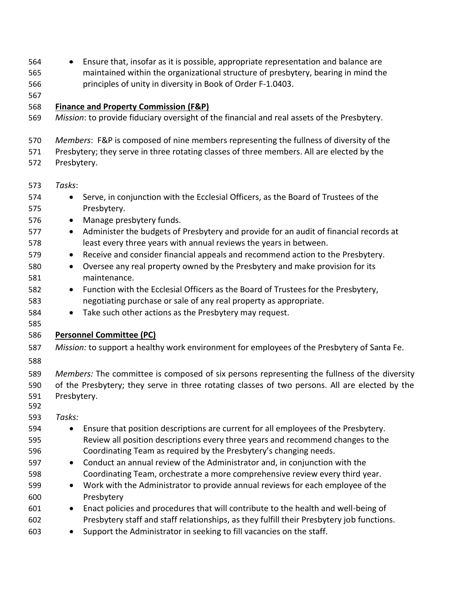| 564<br>565<br>566 | Ensure that, insofar as it is possible, appropriate representation and balance are<br>$\bullet$<br>maintained within the organizational structure of presbytery, bearing in mind the<br>principles of unity in diversity in Book of Order F-1.0403. |
|-------------------|-----------------------------------------------------------------------------------------------------------------------------------------------------------------------------------------------------------------------------------------------------|
| 567               |                                                                                                                                                                                                                                                     |
| 568<br>569        | Finance and Property Commission (F&P)<br>Mission: to provide fiduciary oversight of the financial and real assets of the Presbytery.                                                                                                                |
| 570<br>571<br>572 | Members: F&P is composed of nine members representing the fullness of diversity of the<br>Presbytery; they serve in three rotating classes of three members. All are elected by the<br>Presbytery.                                                  |
| 573               | Tasks:                                                                                                                                                                                                                                              |
| 574<br>575        | Serve, in conjunction with the Ecclesial Officers, as the Board of Trustees of the<br>$\bullet$<br>Presbytery.                                                                                                                                      |
| 576               | Manage presbytery funds.<br>$\bullet$                                                                                                                                                                                                               |
| 577               | Administer the budgets of Presbytery and provide for an audit of financial records at<br>$\bullet$                                                                                                                                                  |
| 578               | least every three years with annual reviews the years in between.                                                                                                                                                                                   |
| 579               | Receive and consider financial appeals and recommend action to the Presbytery.<br>$\bullet$                                                                                                                                                         |
| 580               | Oversee any real property owned by the Presbytery and make provision for its<br>$\bullet$<br>maintenance.                                                                                                                                           |
| 581<br>582        | Function with the Ecclesial Officers as the Board of Trustees for the Presbytery,<br>$\bullet$                                                                                                                                                      |
| 583               | negotiating purchase or sale of any real property as appropriate.                                                                                                                                                                                   |
| 584               | Take such other actions as the Presbytery may request.<br>$\bullet$                                                                                                                                                                                 |
| 585               |                                                                                                                                                                                                                                                     |
| 586               | <b>Personnel Committee (PC)</b>                                                                                                                                                                                                                     |
| 587               | Mission: to support a healthy work environment for employees of the Presbytery of Santa Fe.                                                                                                                                                         |
| 588               |                                                                                                                                                                                                                                                     |
| 589               | Members: The committee is composed of six persons representing the fullness of the diversity                                                                                                                                                        |
| 590               | of the Presbytery; they serve in three rotating classes of two persons. All are elected by the                                                                                                                                                      |
| 591               | Presbytery.                                                                                                                                                                                                                                         |
| 592               |                                                                                                                                                                                                                                                     |
| 593               | Tasks:                                                                                                                                                                                                                                              |
| 594               | Ensure that position descriptions are current for all employees of the Presbytery.<br>$\bullet$                                                                                                                                                     |
| 595               | Review all position descriptions every three years and recommend changes to the                                                                                                                                                                     |
| 596               | Coordinating Team as required by the Presbytery's changing needs.                                                                                                                                                                                   |
| 597<br>598        | Conduct an annual review of the Administrator and, in conjunction with the<br>$\bullet$<br>Coordinating Team, orchestrate a more comprehensive review every third year.                                                                             |
| 599               | Work with the Administrator to provide annual reviews for each employee of the<br>$\bullet$                                                                                                                                                         |
| 600               | Presbytery                                                                                                                                                                                                                                          |
| 601               | Enact policies and procedures that will contribute to the health and well-being of<br>$\bullet$                                                                                                                                                     |
| 602               | Presbytery staff and staff relationships, as they fulfill their Presbytery job functions.                                                                                                                                                           |
| 603               | Support the Administrator in seeking to fill vacancies on the staff.<br>$\bullet$                                                                                                                                                                   |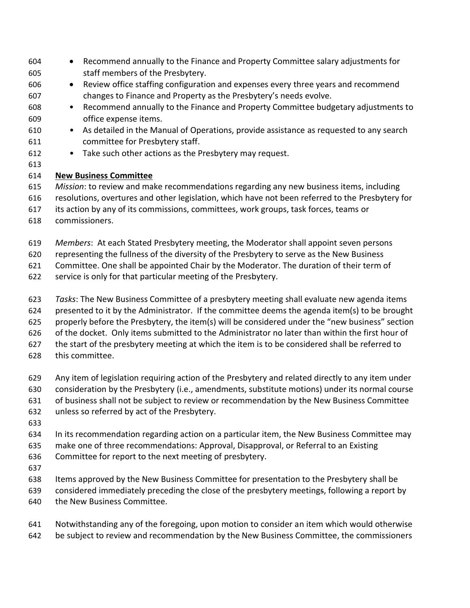- Recommend annually to the Finance and Property Committee salary adjustments for staff members of the Presbytery. • Review office staffing configuration and expenses every three years and recommend changes to Finance and Property as the Presbytery's needs evolve. • Recommend annually to the Finance and Property Committee budgetary adjustments to office expense items. • As detailed in the Manual of Operations, provide assistance as requested to any search committee for Presbytery staff.
- Take such other actions as the Presbytery may request.
- 
- **New Business Committee**

#### *Mission*: to review and make recommendations regarding any new business items, including

- resolutions, overtures and other legislation, which have not been referred to the Presbytery for
- its action by any of its commissions, committees, work groups, task forces, teams or
- commissioners.
- *Members*: At each Stated Presbytery meeting, the Moderator shall appoint seven persons
- representing the fullness of the diversity of the Presbytery to serve as the New Business

Committee. One shall be appointed Chair by the Moderator. The duration of their term of

- service is only for that particular meeting of the Presbytery.
- *Tasks*: The New Business Committee of a presbytery meeting shall evaluate new agenda items
- presented to it by the Administrator. If the committee deems the agenda item(s) to be brought
- properly before the Presbytery, the item(s) will be considered under the "new business" section
- of the docket.Only items submitted to the Administrator no later than within the first hour of
- the start of the presbytery meeting at which the item is to be considered shall be referred to
- this committee.
- Any item of legislation requiring action of the Presbytery and related directly to any item under
- consideration by the Presbytery (i.e., amendments, substitute motions) under its normal course
- of business shall not be subject to review or recommendation by the New Business Committee
- unless so referred by act of the Presbytery.
- 
- In its recommendation regarding action on a particular item, the New Business Committee may
- make one of three recommendations: Approval, Disapproval, or Referral to an Existing
- Committee for report to the next meeting of presbytery.
- 
- Items approved by the New Business Committee for presentation to the Presbytery shall be
- considered immediately preceding the close of the presbytery meetings, following a report by
- the New Business Committee.
- Notwithstanding any of the foregoing, upon motion to consider an item which would otherwise be subject to review and recommendation by the New Business Committee, the commissioners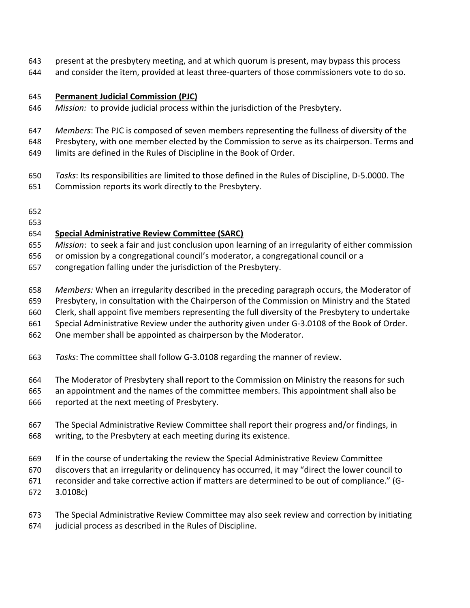- present at the presbytery meeting, and at which quorum is present, may bypass this process
- and consider the item, provided at least three-quarters of those commissioners vote to do so.

#### **Permanent Judicial Commission (PJC)**

- *Mission:* to provide judicial process within the jurisdiction of the Presbytery.
- *Members*: The PJC is composed of seven members representing the fullness of diversity of the

Presbytery, with one member elected by the Commission to serve as its chairperson. Terms and

- limits are defined in the Rules of Discipline in the Book of Order.
- *Tasks*: Its responsibilities are limited to those defined in the Rules of Discipline, D-5.0000. The
- Commission reports its work directly to the Presbytery.
- 
- 

#### **Special Administrative Review Committee (SARC)**

- *Mission*: to seek a fair and just conclusion upon learning of an irregularity of either commission
- or omission by a congregational council's moderator, a congregational council or a
- congregation falling under the jurisdiction of the Presbytery.
- *Members:* When an irregularity described in the preceding paragraph occurs, the Moderator of
- Presbytery, in consultation with the Chairperson of the Commission on Ministry and the Stated
- Clerk, shall appoint five members representing the full diversity of the Presbytery to undertake
- Special Administrative Review under the authority given under G-3.0108 of the Book of Order.
- One member shall be appointed as chairperson by the Moderator.
- *Tasks*: The committee shall follow G-3.0108 regarding the manner of review.
- The Moderator of Presbytery shall report to the Commission on Ministry the reasons for such
- an appointment and the names of the committee members. This appointment shall also be
- reported at the next meeting of Presbytery.
- The Special Administrative Review Committee shall report their progress and/or findings, in writing, to the Presbytery at each meeting during its existence.
- If in the course of undertaking the review the Special Administrative Review Committee
- discovers that an irregularity or delinquency has occurred, it may "direct the lower council to
- reconsider and take corrective action if matters are determined to be out of compliance." (G-
- 3.0108c)
- The Special Administrative Review Committee may also seek review and correction by initiating
- judicial process as described in the Rules of Discipline.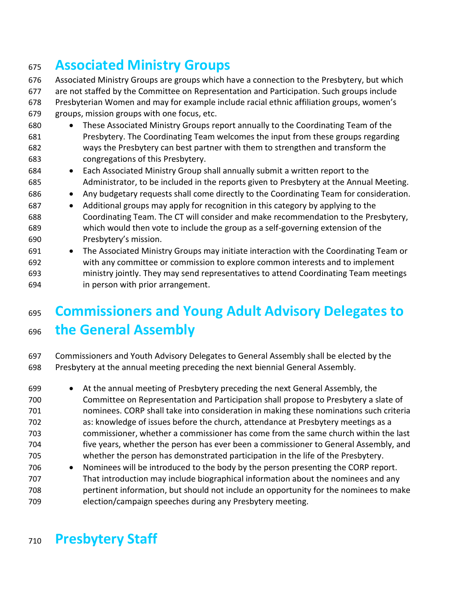### **Associated Ministry Groups**

 Associated Ministry Groups are groups which have a connection to the Presbytery, but which are not staffed by the Committee on Representation and Participation. Such groups include Presbyterian Women and may for example include racial ethnic affiliation groups, women's groups, mission groups with one focus, etc.

- These Associated Ministry Groups report annually to the Coordinating Team of the Presbytery. The Coordinating Team welcomes the input from these groups regarding ways the Presbytery can best partner with them to strengthen and transform the congregations of this Presbytery.
- Each Associated Ministry Group shall annually submit a written report to the Administrator, to be included in the reports given to Presbytery at the Annual Meeting.
- Any budgetary requests shall come directly to the Coordinating Team for consideration.
- Additional groups may apply for recognition in this category by applying to the Coordinating Team. The CT will consider and make recommendation to the Presbytery, which would then vote to include the group as a self-governing extension of the Presbytery's mission.
- The Associated Ministry Groups may initiate interaction with the Coordinating Team or with any committee or commission to explore common interests and to implement ministry jointly. They may send representatives to attend Coordinating Team meetings in person with prior arrangement.

### **Commissioners and Young Adult Advisory Delegates to the General Assembly**

 Commissioners and Youth Advisory Delegates to General Assembly shall be elected by the Presbytery at the annual meeting preceding the next biennial General Assembly.

- At the annual meeting of Presbytery preceding the next General Assembly, the Committee on Representation and Participation shall propose to Presbytery a slate of nominees. CORP shall take into consideration in making these nominations such criteria as: knowledge of issues before the church, attendance at Presbytery meetings as a commissioner, whether a commissioner has come from the same church within the last five years, whether the person has ever been a commissioner to General Assembly, and whether the person has demonstrated participation in the life of the Presbytery.
- Nominees will be introduced to the body by the person presenting the CORP report. That introduction may include biographical information about the nominees and any pertinent information, but should not include an opportunity for the nominees to make election/campaign speeches during any Presbytery meeting.

### **Presbytery Staff**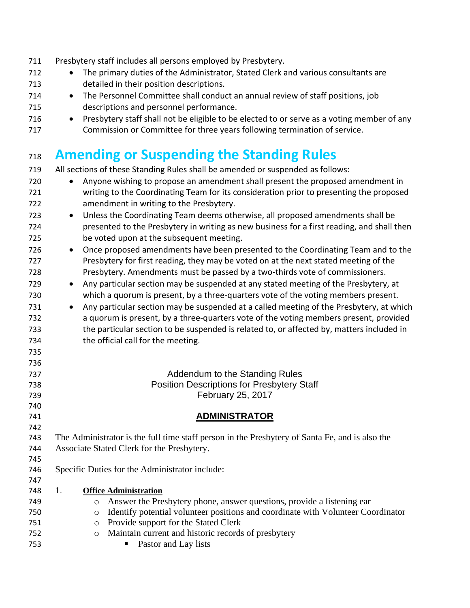| 711        | Presbytery staff includes all persons employed by Presbytery.                                                                          |
|------------|----------------------------------------------------------------------------------------------------------------------------------------|
| 712        | The primary duties of the Administrator, Stated Clerk and various consultants are<br>$\bullet$                                         |
| 713        | detailed in their position descriptions.                                                                                               |
| 714        | The Personnel Committee shall conduct an annual review of staff positions, job<br>$\bullet$                                            |
| 715        | descriptions and personnel performance.                                                                                                |
| 716        | Presbytery staff shall not be eligible to be elected to or serve as a voting member of any<br>$\bullet$                                |
| 717        | Commission or Committee for three years following termination of service.                                                              |
|            |                                                                                                                                        |
| 718        | <b>Amending or Suspending the Standing Rules</b>                                                                                       |
| 719        | All sections of these Standing Rules shall be amended or suspended as follows:                                                         |
| 720        | Anyone wishing to propose an amendment shall present the proposed amendment in                                                         |
| 721<br>722 | writing to the Coordinating Team for its consideration prior to presenting the proposed<br>amendment in writing to the Presbytery.     |
| 723        |                                                                                                                                        |
|            | Unless the Coordinating Team deems otherwise, all proposed amendments shall be<br>$\bullet$                                            |
| 724<br>725 | presented to the Presbytery in writing as new business for a first reading, and shall then<br>be voted upon at the subsequent meeting. |
| 726        | Once proposed amendments have been presented to the Coordinating Team and to the<br>$\bullet$                                          |
| 727        | Presbytery for first reading, they may be voted on at the next stated meeting of the                                                   |
| 728        | Presbytery. Amendments must be passed by a two-thirds vote of commissioners.                                                           |
| 729        | Any particular section may be suspended at any stated meeting of the Presbytery, at<br>$\bullet$                                       |
| 730        | which a quorum is present, by a three-quarters vote of the voting members present.                                                     |
| 731        | Any particular section may be suspended at a called meeting of the Presbytery, at which<br>$\bullet$                                   |
| 732        | a quorum is present, by a three-quarters vote of the voting members present, provided                                                  |
| 733        | the particular section to be suspended is related to, or affected by, matters included in                                              |
| 734        | the official call for the meeting.                                                                                                     |
| 735        |                                                                                                                                        |
| 736        |                                                                                                                                        |
| 737        | Addendum to the Standing Rules                                                                                                         |
| 738        | <b>Position Descriptions for Presbytery Staff</b>                                                                                      |
| 739        | February 25, 2017                                                                                                                      |
| 740        |                                                                                                                                        |
| 741        | <b>ADMINISTRATOR</b>                                                                                                                   |
| 742        |                                                                                                                                        |
| 743        | The Administrator is the full time staff person in the Presbytery of Santa Fe, and is also the                                         |
| 744<br>745 | Associate Stated Clerk for the Presbytery.                                                                                             |
| 746        | Specific Duties for the Administrator include:                                                                                         |
| 747        |                                                                                                                                        |
| 748        | 1.<br><b>Office Administration</b>                                                                                                     |
| 749        | Answer the Presbytery phone, answer questions, provide a listening ear<br>$\circ$                                                      |
| 750        | Identify potential volunteer positions and coordinate with Volunteer Coordinator<br>$\circ$                                            |
| 751        | Provide support for the Stated Clerk<br>$\circ$                                                                                        |
| 752        | Maintain current and historic records of presbytery<br>$\circ$                                                                         |
| 753        | Pastor and Lay lists                                                                                                                   |
|            |                                                                                                                                        |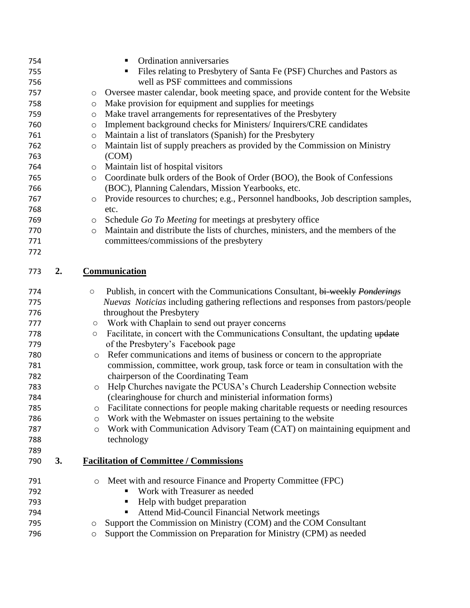| 754 |    |                     | Ordination anniversaries<br>п                                                                                  |
|-----|----|---------------------|----------------------------------------------------------------------------------------------------------------|
| 755 |    |                     | Files relating to Presbytery of Santa Fe (PSF) Churches and Pastors as                                         |
| 756 |    |                     | well as PSF committees and commissions                                                                         |
| 757 |    | O                   | Oversee master calendar, book meeting space, and provide content for the Website                               |
| 758 |    | O                   | Make provision for equipment and supplies for meetings                                                         |
| 759 |    | O                   | Make travel arrangements for representatives of the Presbytery                                                 |
| 760 |    | $\circ$             | Implement background checks for Ministers/Inquirers/CRE candidates                                             |
| 761 |    | $\circ$             | Maintain a list of translators (Spanish) for the Presbytery                                                    |
| 762 |    | $\circ$             | Maintain list of supply preachers as provided by the Commission on Ministry                                    |
| 763 |    |                     | (COM)                                                                                                          |
| 764 |    | O                   | Maintain list of hospital visitors                                                                             |
| 765 |    | $\circ$             | Coordinate bulk orders of the Book of Order (BOO), the Book of Confessions                                     |
| 766 |    |                     | (BOC), Planning Calendars, Mission Yearbooks, etc.                                                             |
| 767 |    | $\circ$             | Provide resources to churches; e.g., Personnel handbooks, Job description samples,                             |
| 768 |    |                     | etc.                                                                                                           |
| 769 |    | $\circ$             | Schedule Go To Meeting for meetings at presbytery office                                                       |
| 770 |    | $\circ$             | Maintain and distribute the lists of churches, ministers, and the members of the                               |
| 771 |    |                     | committees/commissions of the presbytery                                                                       |
| 772 |    |                     |                                                                                                                |
| 773 | 2. |                     | <b>Communication</b>                                                                                           |
| 774 |    | $\bigcirc$          | Publish, in concert with the Communications Consultant, bi-weekly Ponderings                                   |
|     |    |                     |                                                                                                                |
| 775 |    |                     |                                                                                                                |
| 776 |    |                     | Nuevas Noticias including gathering reflections and responses from pastors/people<br>throughout the Presbytery |
| 777 |    | $\circ$             | Work with Chaplain to send out prayer concerns                                                                 |
| 778 |    | $\circ$             | Facilitate, in concert with the Communications Consultant, the updating update                                 |
| 779 |    |                     | of the Presbytery's Facebook page                                                                              |
| 780 |    | $\circ$             | Refer communications and items of business or concern to the appropriate                                       |
| 781 |    |                     | commission, committee, work group, task force or team in consultation with the                                 |
| 782 |    |                     | chairperson of the Coordinating Team                                                                           |
| 783 |    | $\circlearrowright$ | Help Churches navigate the PCUSA's Church Leadership Connection website                                        |
| 784 |    |                     | (clearinghouse for church and ministerial information forms)                                                   |
| 785 |    | O                   | Facilitate connections for people making charitable requests or needing resources                              |
| 786 |    | $\circ$             | Work with the Webmaster on issues pertaining to the website                                                    |
| 787 |    | $\circ$             | Work with Communication Advisory Team (CAT) on maintaining equipment and                                       |
| 788 |    |                     | technology                                                                                                     |
| 789 |    |                     |                                                                                                                |
| 790 | 3. |                     | <b>Facilitation of Committee / Commissions</b>                                                                 |
| 791 |    | $\circ$             | Meet with and resource Finance and Property Committee (FPC)                                                    |
| 792 |    |                     | Work with Treasurer as needed                                                                                  |
| 793 |    |                     | Help with budget preparation                                                                                   |
| 794 |    |                     | Attend Mid-Council Financial Network meetings                                                                  |
| 795 |    | O                   | Support the Commission on Ministry (COM) and the COM Consultant                                                |
| 796 |    | O                   | Support the Commission on Preparation for Ministry (CPM) as needed                                             |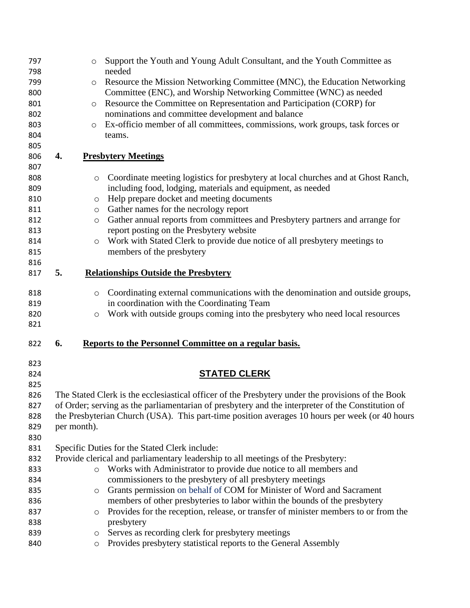| 797        |             | $\circ$ | Support the Youth and Young Adult Consultant, and the Youth Committee as                          |
|------------|-------------|---------|---------------------------------------------------------------------------------------------------|
| 798        |             |         | needed                                                                                            |
| 799        |             | $\circ$ | Resource the Mission Networking Committee (MNC), the Education Networking                         |
| 800        |             |         | Committee (ENC), and Worship Networking Committee (WNC) as needed                                 |
| 801        |             | $\circ$ | Resource the Committee on Representation and Participation (CORP) for                             |
| 802        |             |         | nominations and committee development and balance                                                 |
| 803        |             | $\circ$ | Ex-officio member of all committees, commissions, work groups, task forces or                     |
| 804        |             |         | teams.                                                                                            |
| 805        |             |         |                                                                                                   |
| 806        | 4.          |         | <b>Presbytery Meetings</b>                                                                        |
| 807        |             |         |                                                                                                   |
| 808        |             | $\circ$ | Coordinate meeting logistics for presbytery at local churches and at Ghost Ranch,                 |
| 809        |             |         | including food, lodging, materials and equipment, as needed                                       |
| 810        |             | $\circ$ | Help prepare docket and meeting documents                                                         |
| 811        |             | $\circ$ | Gather names for the necrology report                                                             |
| 812        |             | $\circ$ | Gather annual reports from committees and Presbytery partners and arrange for                     |
| 813        |             |         | report posting on the Presbytery website                                                          |
| 814        |             | $\circ$ | Work with Stated Clerk to provide due notice of all presbytery meetings to                        |
| 815        |             |         | members of the presbytery                                                                         |
| 816        |             |         |                                                                                                   |
| 817        | 5.          |         | <b>Relationships Outside the Presbytery</b>                                                       |
| 818        |             | $\circ$ | Coordinating external communications with the denomination and outside groups,                    |
| 819        |             |         | in coordination with the Coordinating Team                                                        |
| 820        |             | $\circ$ | Work with outside groups coming into the presbytery who need local resources                      |
| 821        |             |         |                                                                                                   |
| 822        | 6.          |         | Reports to the Personnel Committee on a regular basis.                                            |
| 823        |             |         |                                                                                                   |
| 824        |             |         | <b>STATED CLERK</b>                                                                               |
| 825        |             |         |                                                                                                   |
| 826        |             |         | The Stated Clerk is the ecclesiastical officer of the Presbytery under the provisions of the Book |
| 827        |             |         | of Order; serving as the parliamentarian of presbytery and the interpreter of the Constitution of |
| 828        |             |         | the Presbyterian Church (USA). This part-time position averages 10 hours per week (or 40 hours    |
| 829        | per month). |         |                                                                                                   |
| 830        |             |         |                                                                                                   |
| 831        |             |         | Specific Duties for the Stated Clerk include:                                                     |
| 832        |             |         | Provide clerical and parliamentary leadership to all meetings of the Presbytery:                  |
| 833        |             | $\circ$ | Works with Administrator to provide due notice to all members and                                 |
| 834        |             |         | commissioners to the presbytery of all presbytery meetings                                        |
| 835        |             | $\circ$ | Grants permission on behalf of COM for Minister of Word and Sacrament                             |
| 836        |             |         | members of other presbyteries to labor within the bounds of the presbytery                        |
| 837        |             |         | Provides for the reception, release, or transfer of minister members to or from the               |
|            |             | $\circ$ | presbytery                                                                                        |
| 838<br>839 |             |         | Serves as recording clerk for presbytery meetings                                                 |
|            |             | O       |                                                                                                   |
| 840        |             | $\circ$ | Provides presbytery statistical reports to the General Assembly                                   |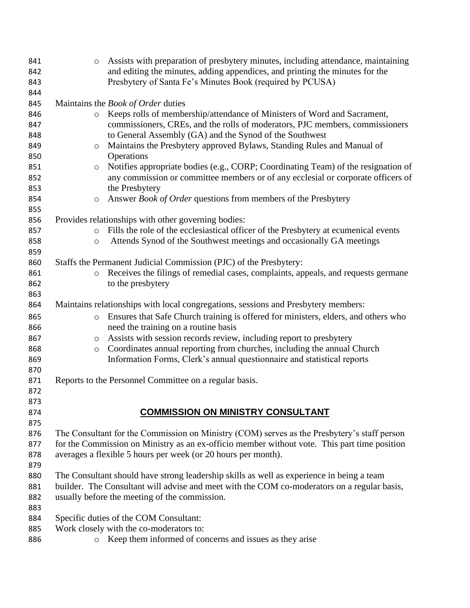| 841<br>842 | $\circ$               | Assists with preparation of presbytery minutes, including attendance, maintaining<br>and editing the minutes, adding appendices, and printing the minutes for the |
|------------|-----------------------|-------------------------------------------------------------------------------------------------------------------------------------------------------------------|
| 843<br>844 |                       | Presbytery of Santa Fe's Minutes Book (required by PCUSA)                                                                                                         |
| 845        |                       | Maintains the <i>Book of Order</i> duties                                                                                                                         |
| 846        | $\circ$               | Keeps rolls of membership/attendance of Ministers of Word and Sacrament,                                                                                          |
| 847        |                       | commissioners, CREs, and the rolls of moderators, PJC members, commissioners                                                                                      |
| 848        |                       | to General Assembly (GA) and the Synod of the Southwest                                                                                                           |
| 849        | $\circ$               | Maintains the Presbytery approved Bylaws, Standing Rules and Manual of                                                                                            |
| 850        |                       | Operations                                                                                                                                                        |
| 851        | $\circ$               | Notifies appropriate bodies (e.g., CORP; Coordinating Team) of the resignation of                                                                                 |
| 852<br>853 |                       | any commission or committee members or of any ecclesial or corporate officers of<br>the Presbytery                                                                |
| 854        | $\circ$               | Answer Book of Order questions from members of the Presbytery                                                                                                     |
| 855        |                       |                                                                                                                                                                   |
| 856        |                       | Provides relationships with other governing bodies:                                                                                                               |
| 857        | $\circ$               | Fills the role of the ecclesiastical officer of the Presbytery at ecumenical events                                                                               |
| 858        | $\circ$               | Attends Synod of the Southwest meetings and occasionally GA meetings                                                                                              |
| 859        |                       |                                                                                                                                                                   |
| 860        |                       | Staffs the Permanent Judicial Commission (PJC) of the Presbytery:                                                                                                 |
| 861        | $\circ$               | Receives the filings of remedial cases, complaints, appeals, and requests germane                                                                                 |
| 862        |                       | to the presbytery                                                                                                                                                 |
| 863        |                       |                                                                                                                                                                   |
| 864        |                       | Maintains relationships with local congregations, sessions and Presbytery members:                                                                                |
| 865        | $\circ$               | Ensures that Safe Church training is offered for ministers, elders, and others who                                                                                |
| 866        |                       | need the training on a routine basis                                                                                                                              |
| 867<br>868 | $\bigcirc$<br>$\circ$ | Assists with session records review, including report to presbytery<br>Coordinates annual reporting from churches, including the annual Church                    |
| 869        |                       | Information Forms, Clerk's annual questionnaire and statistical reports                                                                                           |
| 870        |                       |                                                                                                                                                                   |
| 871        |                       | Reports to the Personnel Committee on a regular basis.                                                                                                            |
| 872        |                       |                                                                                                                                                                   |
| 873        |                       |                                                                                                                                                                   |
| 874        |                       | <b>COMMISSION ON MINISTRY CONSULTANT</b>                                                                                                                          |
| 875        |                       |                                                                                                                                                                   |
| 876        |                       | The Consultant for the Commission on Ministry (COM) serves as the Presbytery's staff person                                                                       |
| 877        |                       | for the Commission on Ministry as an ex-officio member without vote. This part time position                                                                      |
| 878        |                       | averages a flexible 5 hours per week (or 20 hours per month).                                                                                                     |
| 879        |                       |                                                                                                                                                                   |
| 880        |                       | The Consultant should have strong leadership skills as well as experience in being a team                                                                         |
| 881        |                       | builder. The Consultant will advise and meet with the COM co-moderators on a regular basis,                                                                       |
| 882<br>883 |                       | usually before the meeting of the commission.                                                                                                                     |
| 884        |                       | Specific duties of the COM Consultant:                                                                                                                            |
| 885        |                       | Work closely with the co-moderators to:                                                                                                                           |
| 886        | $\circ$               | Keep them informed of concerns and issues as they arise                                                                                                           |
|            |                       |                                                                                                                                                                   |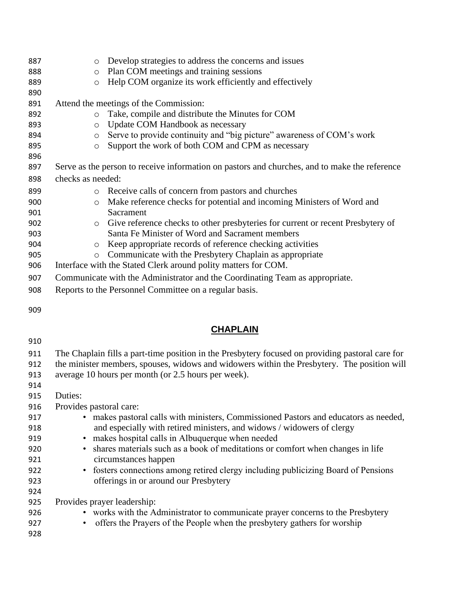| 887 | Develop strategies to address the concerns and issues<br>$\circ$                              |
|-----|-----------------------------------------------------------------------------------------------|
| 888 | Plan COM meetings and training sessions<br>$\circ$                                            |
| 889 | Help COM organize its work efficiently and effectively<br>$\circ$                             |
| 890 |                                                                                               |
| 891 | Attend the meetings of the Commission:                                                        |
| 892 | Take, compile and distribute the Minutes for COM<br>$\circ$                                   |
| 893 | Update COM Handbook as necessary<br>$\circ$                                                   |
| 894 | Serve to provide continuity and "big picture" awareness of COM's work<br>$\circ$              |
| 895 | Support the work of both COM and CPM as necessary<br>$\circ$                                  |
| 896 |                                                                                               |
| 897 | Serve as the person to receive information on pastors and churches, and to make the reference |
| 898 | checks as needed:                                                                             |
| 899 | Receive calls of concern from pastors and churches<br>$\circ$                                 |
| 900 | Make reference checks for potential and incoming Ministers of Word and<br>$\circ$             |
| 901 | Sacrament                                                                                     |
| 902 | Give reference checks to other presbyteries for current or recent Presbytery of<br>$\circ$    |
| 903 | Santa Fe Minister of Word and Sacrament members                                               |
| 904 | Keep appropriate records of reference checking activities<br>$\circ$                          |
| 905 | Communicate with the Presbytery Chaplain as appropriate<br>$\circ$                            |
| 906 | Interface with the Stated Clerk around polity matters for COM.                                |
| 907 | Communicate with the Administrator and the Coordinating Team as appropriate.                  |
| 908 | Reports to the Personnel Committee on a regular basis.                                        |

#### **CHAPLAIN**

| The Chaplain fills a part-time position in the Presbytery focused on providing pastoral care for |
|--------------------------------------------------------------------------------------------------|
| the minister members, spouses, widows and widowers within the Presbytery. The position will      |
| average 10 hours per month (or 2.5 hours per week).                                              |
|                                                                                                  |
| Duties:                                                                                          |
| Provides pastoral care:                                                                          |
| • makes pastoral calls with ministers, Commissioned Pastors and educators as needed,             |
| and especially with retired ministers, and widows / widowers of clergy                           |
| • makes hospital calls in Albuquerque when needed                                                |
| shares materials such as a book of meditations or comfort when changes in life                   |
| circumstances happen                                                                             |
| fosters connections among retired clergy including publicizing Board of Pensions<br>$\bullet$    |
| offerings in or around our Presbytery                                                            |
|                                                                                                  |
| Provides prayer leadership:                                                                      |
| • works with the Administrator to communicate prayer concerns to the Presbytery                  |
| offers the Prayers of the People when the presbytery gathers for worship<br>$\bullet$            |
|                                                                                                  |
|                                                                                                  |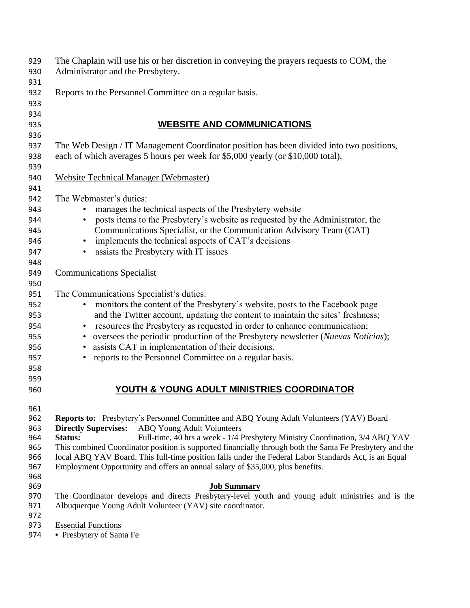| 929        | The Chaplain will use his or her discretion in conveying the prayers requests to COM, the                |
|------------|----------------------------------------------------------------------------------------------------------|
| 930        | Administrator and the Presbytery.                                                                        |
| 931        |                                                                                                          |
| 932        | Reports to the Personnel Committee on a regular basis.                                                   |
| 933        |                                                                                                          |
| 934        |                                                                                                          |
| 935        | <b>WEBSITE AND COMMUNICATIONS</b>                                                                        |
| 936        |                                                                                                          |
| 937        | The Web Design / IT Management Coordinator position has been divided into two positions,                 |
| 938        | each of which averages 5 hours per week for \$5,000 yearly (or \$10,000 total).                          |
| 939        |                                                                                                          |
| 940        | <b>Website Technical Manager (Webmaster)</b>                                                             |
| 941        |                                                                                                          |
| 942        | The Webmaster's duties:                                                                                  |
| 943        | manages the technical aspects of the Presbytery website                                                  |
| 944        | posts items to the Presbytery's website as requested by the Administrator, the                           |
| 945        | Communications Specialist, or the Communication Advisory Team (CAT)                                      |
| 946        | implements the technical aspects of CAT's decisions<br>$\bullet$                                         |
| 947        | assists the Presbytery with IT issues                                                                    |
| 948        |                                                                                                          |
| 949        | <b>Communications Specialist</b>                                                                         |
| 950        |                                                                                                          |
| 951        | The Communications Specialist's duties:                                                                  |
| 952        | monitors the content of the Presbytery's website, posts to the Facebook page                             |
| 953        | and the Twitter account, updating the content to maintain the sites' freshness;                          |
| 954        | resources the Presbytery as requested in order to enhance communication;<br>$\bullet$                    |
| 955        | oversees the periodic production of the Presbytery newsletter (Nuevas Noticias);                         |
| 956        | assists CAT in implementation of their decisions.                                                        |
| 957        | reports to the Personnel Committee on a regular basis.                                                   |
| 958        |                                                                                                          |
| 959        |                                                                                                          |
| 960        | YOUTH & YOUNG ADULT MINISTRIES COORDINATOR                                                               |
| 961        |                                                                                                          |
| 962        | <b>Reports to:</b> Presbytery's Personnel Committee and ABQ Young Adult Volunteers (YAV) Board           |
| 963        | <b>Directly Supervises:</b><br><b>ABQ Young Adult Volunteers</b>                                         |
| 964        | Full-time, 40 hrs a week - 1/4 Presbytery Ministry Coordination, 3/4 ABQ YAV<br>Status:                  |
| 965        | This combined Coordinator position is supported financially through both the Santa Fe Presbytery and the |
| 966        | local ABQ YAV Board. This full-time position falls under the Federal Labor Standards Act, is an Equal    |
| 967        | Employment Opportunity and offers an annual salary of \$35,000, plus benefits.                           |
| 968        |                                                                                                          |
| 969        | <b>Job Summary</b>                                                                                       |
| 970        | The Coordinator develops and directs Presbytery-level youth and young adult ministries and is the        |
| 971<br>972 | Albuquerque Young Adult Volunteer (YAV) site coordinator.                                                |
| 973        | <b>Essential Functions</b>                                                                               |
| 974        | • Presbytery of Santa Fe                                                                                 |
|            |                                                                                                          |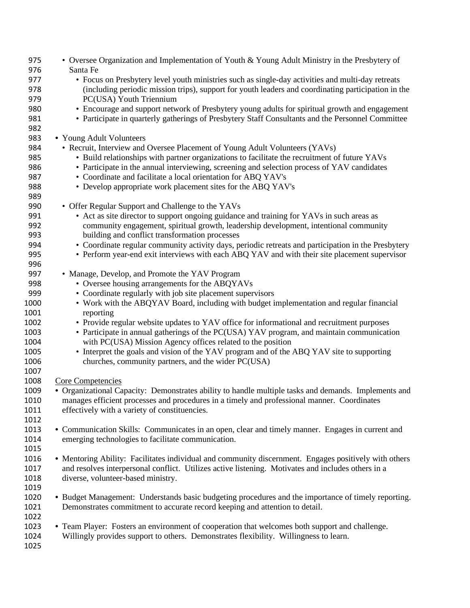| 975  | • Oversee Organization and Implementation of Youth & Young Adult Ministry in the Presbytery of        |
|------|-------------------------------------------------------------------------------------------------------|
| 976  | Santa Fe                                                                                              |
| 977  | • Focus on Presbytery level youth ministries such as single-day activities and multi-day retreats     |
| 978  | (including periodic mission trips), support for youth leaders and coordinating participation in the   |
| 979  | PC(USA) Youth Triennium                                                                               |
| 980  | • Encourage and support network of Presbytery young adults for spiritual growth and engagement        |
| 981  | • Participate in quarterly gatherings of Presbytery Staff Consultants and the Personnel Committee     |
| 982  |                                                                                                       |
| 983  | • Young Adult Volunteers                                                                              |
| 984  | • Recruit, Interview and Oversee Placement of Young Adult Volunteers (YAVs)                           |
| 985  | • Build relationships with partner organizations to facilitate the recruitment of future YAVs         |
| 986  | • Participate in the annual interviewing, screening and selection process of YAV candidates           |
| 987  | • Coordinate and facilitate a local orientation for ABQ YAV's                                         |
| 988  | • Develop appropriate work placement sites for the ABQ YAV's                                          |
| 989  |                                                                                                       |
| 990  | • Offer Regular Support and Challenge to the YAVs                                                     |
| 991  |                                                                                                       |
|      | • Act as site director to support ongoing guidance and training for YAVs in such areas as             |
| 992  | community engagement, spiritual growth, leadership development, intentional community                 |
| 993  | building and conflict transformation processes                                                        |
| 994  | • Coordinate regular community activity days, periodic retreats and participation in the Presbytery   |
| 995  | • Perform year-end exit interviews with each ABQ YAV and with their site placement supervisor         |
| 996  |                                                                                                       |
| 997  | • Manage, Develop, and Promote the YAV Program                                                        |
| 998  | • Oversee housing arrangements for the ABQYAVs                                                        |
| 999  | • Coordinate regularly with job site placement supervisors                                            |
| 1000 | • Work with the ABQYAV Board, including with budget implementation and regular financial              |
| 1001 | reporting                                                                                             |
| 1002 | • Provide regular website updates to YAV office for informational and recruitment purposes            |
| 1003 | • Participate in annual gatherings of the PC(USA) YAV program, and maintain communication             |
| 1004 | with PC(USA) Mission Agency offices related to the position                                           |
| 1005 | • Interpret the goals and vision of the YAV program and of the ABQ YAV site to supporting             |
| 1006 | churches, community partners, and the wider PC(USA)                                                   |
| 1007 |                                                                                                       |
| 1008 | Core Competencies                                                                                     |
| 1009 | • Organizational Capacity: Demonstrates ability to handle multiple tasks and demands. Implements and  |
| 1010 | manages efficient processes and procedures in a timely and professional manner. Coordinates           |
| 1011 | effectively with a variety of constituencies.                                                         |
| 1012 |                                                                                                       |
| 1013 | • Communication Skills: Communicates in an open, clear and timely manner. Engages in current and      |
| 1014 | emerging technologies to facilitate communication.                                                    |
| 1015 |                                                                                                       |
| 1016 | • Mentoring Ability: Facilitates individual and community discernment. Engages positively with others |
| 1017 | and resolves interpersonal conflict. Utilizes active listening. Motivates and includes others in a    |
| 1018 | diverse, volunteer-based ministry.                                                                    |
| 1019 |                                                                                                       |
| 1020 | • Budget Management: Understands basic budgeting procedures and the importance of timely reporting.   |
| 1021 | Demonstrates commitment to accurate record keeping and attention to detail.                           |
| 1022 |                                                                                                       |
| 1023 | • Team Player: Fosters an environment of cooperation that welcomes both support and challenge.        |
| 1024 | Willingly provides support to others. Demonstrates flexibility. Willingness to learn.                 |
| 1025 |                                                                                                       |
|      |                                                                                                       |